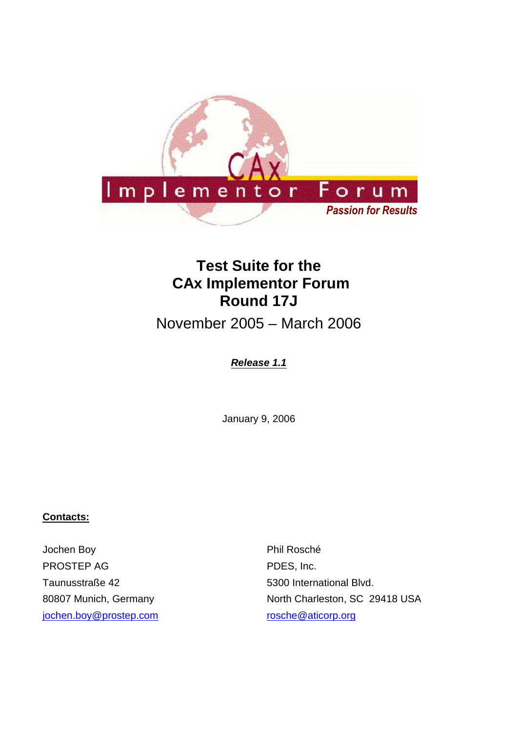

# **Test Suite for the CAx Implementor Forum Round 17J**

November 2005 – March 2006

# **Release 1.1**

January 9, 2006

# **Contacts:**

Jochen Boy PROSTEP AG Taunusstraße 42 80807 Munich, Germany jochen.boy@prostep.com

Phil Rosché PDES, Inc. 5300 International Blvd. North Charleston, SC 29418 USA rosche@aticorp.org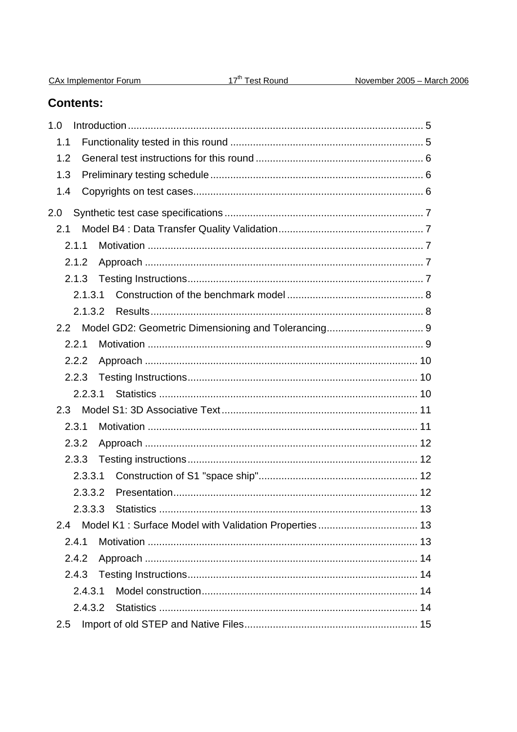# **Contents:**

| 1.0     |  |
|---------|--|
| 1.1     |  |
| 1.2     |  |
| 1.3     |  |
| 1.4     |  |
| 2.0     |  |
| 2.1     |  |
| 2.1.1   |  |
| 2.1.2   |  |
| 2.1.3   |  |
| 2.1.3.1 |  |
| 2.1.3.2 |  |
|         |  |
| 2.2.1   |  |
| 2.2.2   |  |
| 2.2.3   |  |
| 2.2.3.1 |  |
| 2.3     |  |
| 2.3.1   |  |
| 2.3.2   |  |
| 2.3.3   |  |
| 2.3.3.1 |  |
| 2.3.3.2 |  |
|         |  |
| 2.4     |  |
| 2.4.1   |  |
| 2.4.2   |  |
| 2.4.3   |  |
| 2.4.3.1 |  |
| 2.4.3.2 |  |
| 2.5     |  |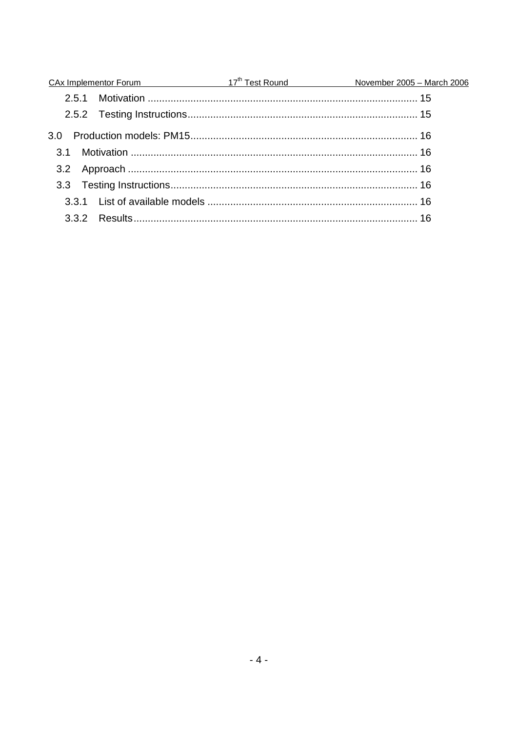|     | CAx Implementor Forum 17 <sup>th</sup> Test Round November 2005 - March 2006 |  |
|-----|------------------------------------------------------------------------------|--|
|     |                                                                              |  |
|     |                                                                              |  |
| 3.0 |                                                                              |  |
|     |                                                                              |  |
|     |                                                                              |  |
|     |                                                                              |  |
|     |                                                                              |  |
|     |                                                                              |  |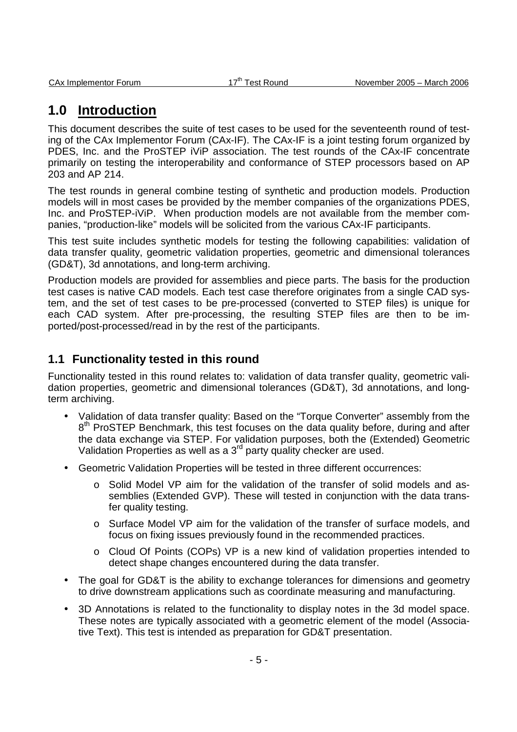# **1.0 Introduction**

This document describes the suite of test cases to be used for the seventeenth round of testing of the CAx Implementor Forum (CAx-IF). The CAx-IF is a joint testing forum organized by PDES, Inc. and the ProSTEP iViP association. The test rounds of the CAx-IF concentrate primarily on testing the interoperability and conformance of STEP processors based on AP 203 and AP 214.

The test rounds in general combine testing of synthetic and production models. Production models will in most cases be provided by the member companies of the organizations PDES, Inc. and ProSTEP-iViP. When production models are not available from the member companies, "production-like" models will be solicited from the various CAx-IF participants.

This test suite includes synthetic models for testing the following capabilities: validation of data transfer quality, geometric validation properties, geometric and dimensional tolerances (GD&T), 3d annotations, and long-term archiving.

Production models are provided for assemblies and piece parts. The basis for the production test cases is native CAD models. Each test case therefore originates from a single CAD system, and the set of test cases to be pre-processed (converted to STEP files) is unique for each CAD system. After pre-processing, the resulting STEP files are then to be imported/post-processed/read in by the rest of the participants.

# **1.1 Functionality tested in this round**

Functionality tested in this round relates to: validation of data transfer quality, geometric validation properties, geometric and dimensional tolerances (GD&T), 3d annotations, and longterm archiving.

- Validation of data transfer quality: Based on the "Torque Converter" assembly from the 8<sup>th</sup> ProSTEP Benchmark, this test focuses on the data quality before, during and after the data exchange via STEP. For validation purposes, both the (Extended) Geometric Validation Properties as well as a 3<sup>rd</sup> party quality checker are used.
- Geometric Validation Properties will be tested in three different occurrences:
	- Solid Model VP aim for the validation of the transfer of solid models and assemblies (Extended GVP). These will tested in conjunction with the data transfer quality testing.
	- o Surface Model VP aim for the validation of the transfer of surface models, and focus on fixing issues previously found in the recommended practices.
	- o Cloud Of Points (COPs) VP is a new kind of validation properties intended to detect shape changes encountered during the data transfer.
- The goal for GD&T is the ability to exchange tolerances for dimensions and geometry to drive downstream applications such as coordinate measuring and manufacturing.
- 3D Annotations is related to the functionality to display notes in the 3d model space. These notes are typically associated with a geometric element of the model (Associative Text). This test is intended as preparation for GD&T presentation.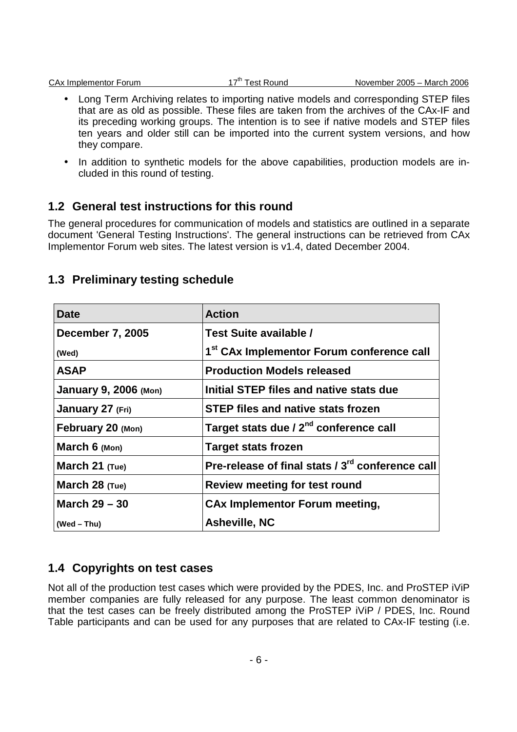|  | <b>CAx Implementor Forum</b> |
|--|------------------------------|
|  |                              |

- Long Term Archiving relates to importing native models and corresponding STEP files that are as old as possible. These files are taken from the archives of the CAx-IF and its preceding working groups. The intention is to see if native models and STEP files ten years and older still can be imported into the current system versions, and how they compare.
- In addition to synthetic models for the above capabilities, production models are included in this round of testing.

# **1.2 General test instructions for this round**

The general procedures for communication of models and statistics are outlined in a separate document 'General Testing Instructions'. The general instructions can be retrieved from CAx Implementor Forum web sites. The latest version is v1.4, dated December 2004.

| Date                         | <b>Action</b>                                         |  |
|------------------------------|-------------------------------------------------------|--|
| <b>December 7, 2005</b>      | Test Suite available /                                |  |
| (Wed)                        | 1 <sup>st</sup> CAx Implementor Forum conference call |  |
| <b>ASAP</b>                  | <b>Production Models released</b>                     |  |
| <b>January 9, 2006 (Mon)</b> | Initial STEP files and native stats due               |  |
| January 27 (Fri)             | <b>STEP files and native stats frozen</b>             |  |
| February 20 (Mon)            | Target stats due / 2 <sup>nd</sup> conference call    |  |
| March $6 \text{ (Mon)}$      | <b>Target stats frozen</b>                            |  |
| March 21 (Tue)               | Pre-release of final stats / 3rd conference call      |  |
| March $28$ (Tue)             | <b>Review meeting for test round</b>                  |  |
| March $29 - 30$              | <b>CAx Implementor Forum meeting,</b>                 |  |
| $(Wed - Thu)$                | <b>Asheville, NC</b>                                  |  |

# **1.3 Preliminary testing schedule**

# **1.4 Copyrights on test cases**

Not all of the production test cases which were provided by the PDES, Inc. and ProSTEP iViP member companies are fully released for any purpose. The least common denominator is that the test cases can be freely distributed among the ProSTEP iViP / PDES, Inc. Round Table participants and can be used for any purposes that are related to CAx-IF testing (i.e.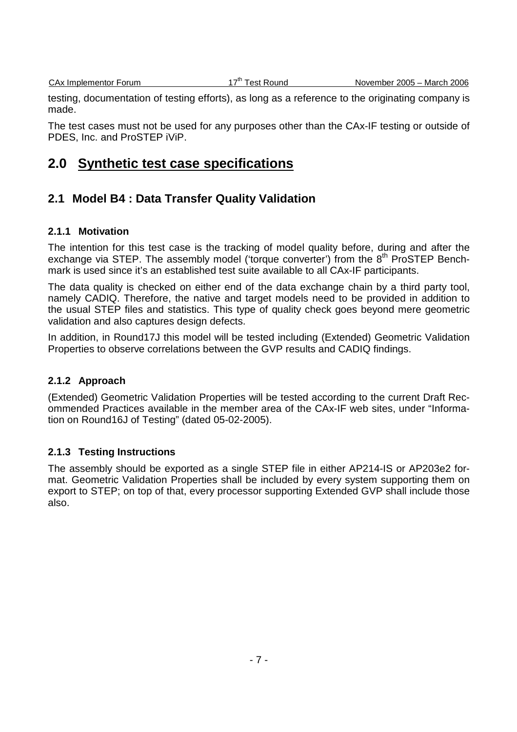testing, documentation of testing efforts), as long as a reference to the originating company is made.

The test cases must not be used for any purposes other than the CAx-IF testing or outside of PDES, Inc. and ProSTEP iViP.

# **2.0 Synthetic test case specifications**

# **2.1 Model B4 : Data Transfer Quality Validation**

#### **2.1.1 Motivation**

The intention for this test case is the tracking of model quality before, during and after the exchange via STEP. The assembly model ('torque converter') from the  $8<sup>th</sup>$  ProSTEP Benchmark is used since it's an established test suite available to all CAx-IF participants.

The data quality is checked on either end of the data exchange chain by a third party tool, namely CADIQ. Therefore, the native and target models need to be provided in addition to the usual STEP files and statistics. This type of quality check goes beyond mere geometric validation and also captures design defects.

In addition, in Round17J this model will be tested including (Extended) Geometric Validation Properties to observe correlations between the GVP results and CADIQ findings.

### **2.1.2 Approach**

(Extended) Geometric Validation Properties will be tested according to the current Draft Recommended Practices available in the member area of the CAx-IF web sites, under "Information on Round16J of Testing" (dated 05-02-2005).

### **2.1.3 Testing Instructions**

The assembly should be exported as a single STEP file in either AP214-IS or AP203e2 format. Geometric Validation Properties shall be included by every system supporting them on export to STEP; on top of that, every processor supporting Extended GVP shall include those also.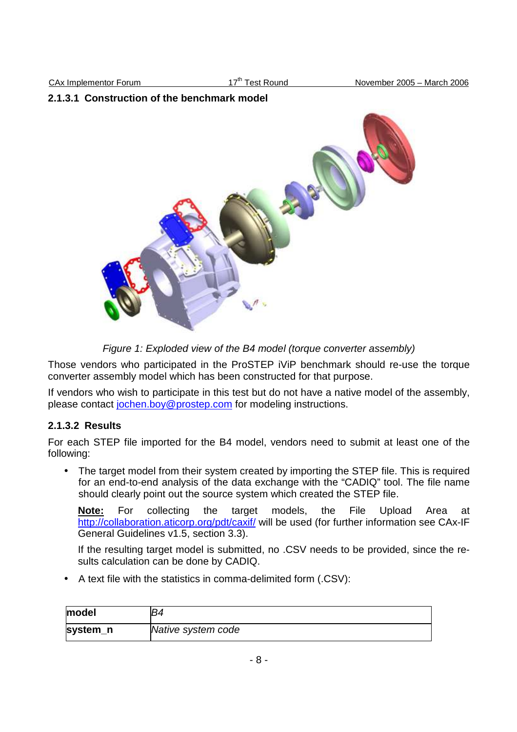### **2.1.3.1 Construction of the benchmark model**



Figure 1: Exploded view of the B4 model (torque converter assembly)

Those vendors who participated in the ProSTEP iViP benchmark should re-use the torque converter assembly model which has been constructed for that purpose.

If vendors who wish to participate in this test but do not have a native model of the assembly, please contact jochen.boy@prostep.com for modeling instructions.

### **2.1.3.2 Results**

For each STEP file imported for the B4 model, vendors need to submit at least one of the following:

• The target model from their system created by importing the STEP file. This is required for an end-to-end analysis of the data exchange with the "CADIQ" tool. The file name should clearly point out the source system which created the STEP file.

**Note:** For collecting the target models, the File Upload Area at http://collaboration.aticorp.org/pdt/caxif/ will be used (for further information see CAx-IF General Guidelines v1.5, section 3.3).

If the resulting target model is submitted, no .CSV needs to be provided, since the results calculation can be done by CADIQ.

• A text file with the statistics in comma-delimited form (.CSV):

| model    | R4                 |
|----------|--------------------|
| system_n | Native system code |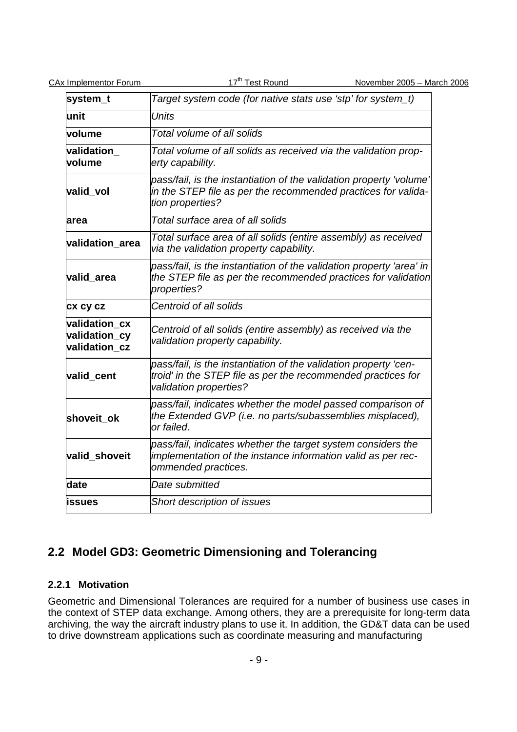| system_t                                        | Target system code (for native stats use 'stp' for system_t)                                                                                               |  |  |
|-------------------------------------------------|------------------------------------------------------------------------------------------------------------------------------------------------------------|--|--|
| lunit                                           | <b>Units</b>                                                                                                                                               |  |  |
| volume                                          | Total volume of all solids                                                                                                                                 |  |  |
| validation<br>volume                            | Total volume of all solids as received via the validation prop-<br>erty capability.                                                                        |  |  |
| valid vol                                       | pass/fail, is the instantiation of the validation property 'volume'<br>in the STEP file as per the recommended practices for valida-<br>tion properties?   |  |  |
| area                                            | Total surface area of all solids                                                                                                                           |  |  |
| validation_area                                 | Total surface area of all solids (entire assembly) as received<br>via the validation property capability.                                                  |  |  |
| valid area                                      | pass/fail, is the instantiation of the validation property 'area' in<br>the STEP file as per the recommended practices for validation<br>properties?       |  |  |
| <b>CX CY CZ</b>                                 | Centroid of all solids                                                                                                                                     |  |  |
| validation cx<br>validation_cy<br>validation cz | Centroid of all solids (entire assembly) as received via the<br>validation property capability.                                                            |  |  |
| valid cent                                      | pass/fail, is the instantiation of the validation property 'cen-<br>troid' in the STEP file as per the recommended practices for<br>validation properties? |  |  |
| shoveit_ok                                      | pass/fail, indicates whether the model passed comparison of<br>the Extended GVP (i.e. no parts/subassemblies misplaced),<br>or failed.                     |  |  |
| valid_shoveit                                   | pass/fail, indicates whether the target system considers the<br>implementation of the instance information valid as per rec-<br>ommended practices.        |  |  |
| date                                            | Date submitted                                                                                                                                             |  |  |
| issues                                          | Short description of issues                                                                                                                                |  |  |

# **2.2 Model GD3: Geometric Dimensioning and Tolerancing**

### **2.2.1 Motivation**

Geometric and Dimensional Tolerances are required for a number of business use cases in the context of STEP data exchange. Among others, they are a prerequisite for long-term data archiving, the way the aircraft industry plans to use it. In addition, the GD&T data can be used to drive downstream applications such as coordinate measuring and manufacturing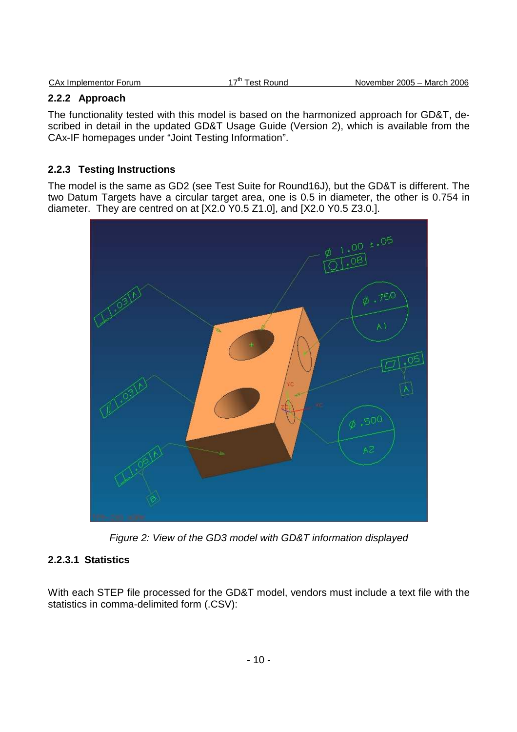| CAx Implementor Forum | 17 <sup>tn</sup> Test Round | November 2005 - March 2006 |
|-----------------------|-----------------------------|----------------------------|
|                       |                             |                            |

# **2.2.2 Approach**

The functionality tested with this model is based on the harmonized approach for GD&T, described in detail in the updated GD&T Usage Guide (Version 2), which is available from the CAx-IF homepages under "Joint Testing Information".

### **2.2.3 Testing Instructions**

The model is the same as GD2 (see Test Suite for Round16J), but the GD&T is different. The two Datum Targets have a circular target area, one is 0.5 in diameter, the other is 0.754 in diameter. They are centred on at [X2.0 Y0.5 Z1.0], and [X2.0 Y0.5 Z3.0.].



Figure 2: View of the GD3 model with GD&T information displayed

# **2.2.3.1 Statistics**

With each STEP file processed for the GD&T model, vendors must include a text file with the statistics in comma-delimited form (.CSV):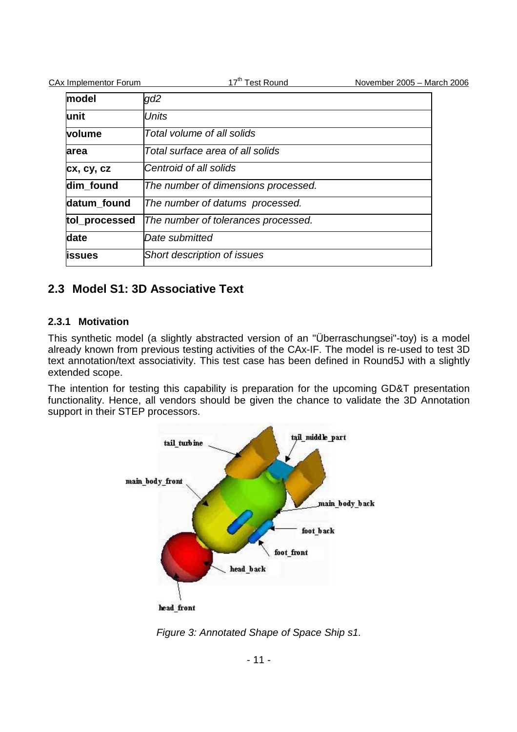| <b>CAx Implementor Forum</b> | 17 <sup>th</sup> Test Round         | November 2005 - March 2006 |
|------------------------------|-------------------------------------|----------------------------|
| model                        | gd2                                 |                            |
| lunit                        | <b>Units</b>                        |                            |
| volume                       | Total volume of all solids          |                            |
| area                         | Total surface area of all solids    |                            |
| cx, cy, cz                   | Centroid of all solids              |                            |
| dim found                    | The number of dimensions processed. |                            |
| datum found                  | The number of datums processed.     |                            |
| tol_processed                | The number of tolerances processed. |                            |
| date                         | Date submitted                      |                            |
| lissues                      | Short description of issues         |                            |

# **2.3 Model S1: 3D Associative Text**

### **2.3.1 Motivation**

This synthetic model (a slightly abstracted version of an "Überraschungsei"-toy) is a model already known from previous testing activities of the CAx-IF. The model is re-used to test 3D text annotation/text associativity. This test case has been defined in Round5J with a slightly extended scope.

The intention for testing this capability is preparation for the upcoming GD&T presentation functionality. Hence, all vendors should be given the chance to validate the 3D Annotation support in their STEP processors.



Figure 3: Annotated Shape of Space Ship s1.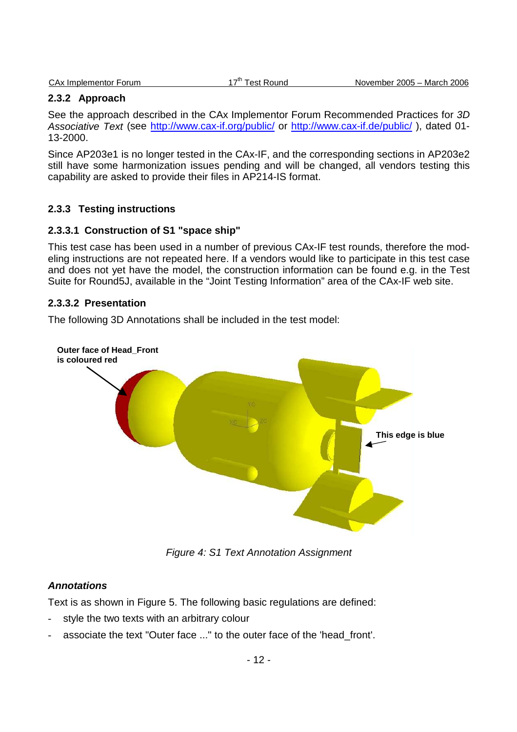|  | <b>CAx Implementor Forum</b> |  |
|--|------------------------------|--|
|  |                              |  |

#### **2.3.2 Approach**

See the approach described in the CAx Implementor Forum Recommended Practices for 3D Associative Text (see http://www.cax-if.org/public/ or http://www.cax-if.de/public/ ), dated 01- 13-2000.

Since AP203e1 is no longer tested in the CAx-IF, and the corresponding sections in AP203e2 still have some harmonization issues pending and will be changed, all vendors testing this capability are asked to provide their files in AP214-IS format.

#### **2.3.3 Testing instructions**

#### **2.3.3.1 Construction of S1 "space ship"**

This test case has been used in a number of previous CAx-IF test rounds, therefore the modeling instructions are not repeated here. If a vendors would like to participate in this test case and does not yet have the model, the construction information can be found e.g. in the Test Suite for Round5J, available in the "Joint Testing Information" area of the CAx-IF web site.

#### **2.3.3.2 Presentation**

The following 3D Annotations shall be included in the test model:



Figure 4: S1 Text Annotation Assignment

#### **Annotations**

Text is as shown in Figure 5. The following basic regulations are defined:

- style the two texts with an arbitrary colour
- associate the text "Outer face ..." to the outer face of the 'head\_front'.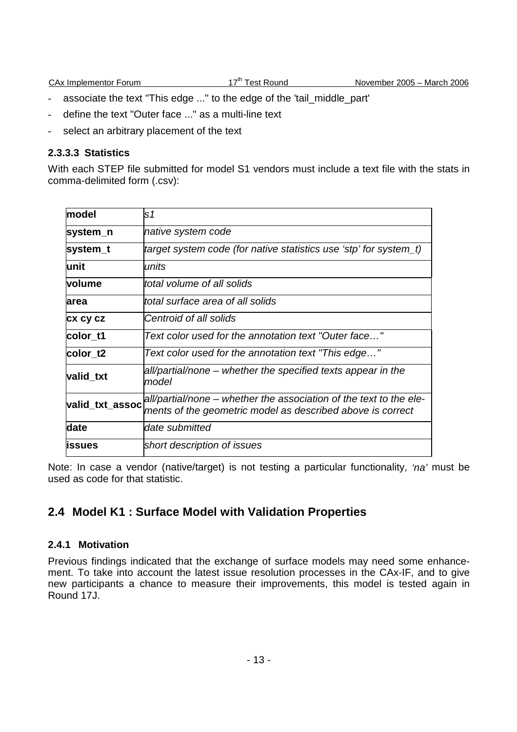- associate the text "This edge ..." to the edge of the 'tail\_middle\_part'
- define the text "Outer face ..." as a multi-line text
- select an arbitrary placement of the text

#### **2.3.3.3 Statistics**

With each STEP file submitted for model S1 vendors must include a text file with the stats in comma-delimited form (.csv):

| model           | ls1                                                                                                                              |  |  |
|-----------------|----------------------------------------------------------------------------------------------------------------------------------|--|--|
| system_n        | native system code                                                                                                               |  |  |
| system_t        | target system code (for native statistics use 'stp' for system_t)                                                                |  |  |
| lunit           | units                                                                                                                            |  |  |
| volume          | ltotal volume of all solids                                                                                                      |  |  |
| area            | total surface area of all solids                                                                                                 |  |  |
| <b>CX CY CZ</b> | Centroid of all solids                                                                                                           |  |  |
| color t1        | Text color used for the annotation text "Outer face"                                                                             |  |  |
| color t2        | Text color used for the annotation text "This edge"                                                                              |  |  |
| valid_txt       | all/partial/none – whether the specified texts appear in the<br>model                                                            |  |  |
| valid_txt_assoc | all/partial/none – whether the association of the text to the ele-<br>ments of the geometric model as described above is correct |  |  |
| date            | ldate submitted                                                                                                                  |  |  |
| lissues         | short description of issues                                                                                                      |  |  |

Note: In case a vendor (native/target) is not testing a particular functionality, 'na' must be used as code for that statistic.

# **2.4 Model K1 : Surface Model with Validation Properties**

### **2.4.1 Motivation**

Previous findings indicated that the exchange of surface models may need some enhancement. To take into account the latest issue resolution processes in the CAx-IF, and to give new participants a chance to measure their improvements, this model is tested again in Round 17J.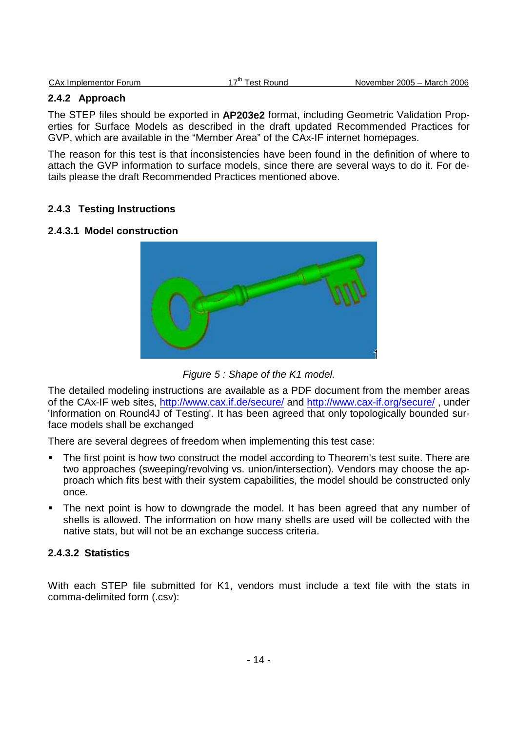|  | CAx Implementor Forum |  |
|--|-----------------------|--|

#### **2.4.2 Approach**

The STEP files should be exported in **AP203e2** format, including Geometric Validation Properties for Surface Models as described in the draft updated Recommended Practices for GVP, which are available in the "Member Area" of the CAx-IF internet homepages.

The reason for this test is that inconsistencies have been found in the definition of where to attach the GVP information to surface models, since there are several ways to do it. For details please the draft Recommended Practices mentioned above.

### **2.4.3 Testing Instructions**

#### **2.4.3.1 Model construction**





The detailed modeling instructions are available as a PDF document from the member areas of the CAx-IF web sites, http://www.cax.if.de/secure/ and http://www.cax-if.org/secure/ , under 'Information on Round4J of Testing'. It has been agreed that only topologically bounded surface models shall be exchanged

There are several degrees of freedom when implementing this test case:

- The first point is how two construct the model according to Theorem's test suite. There are two approaches (sweeping/revolving vs. union/intersection). Vendors may choose the approach which fits best with their system capabilities, the model should be constructed only once.
- The next point is how to downgrade the model. It has been agreed that any number of shells is allowed. The information on how many shells are used will be collected with the native stats, but will not be an exchange success criteria.

### **2.4.3.2 Statistics**

With each STEP file submitted for K1, vendors must include a text file with the stats in comma-delimited form (.csv):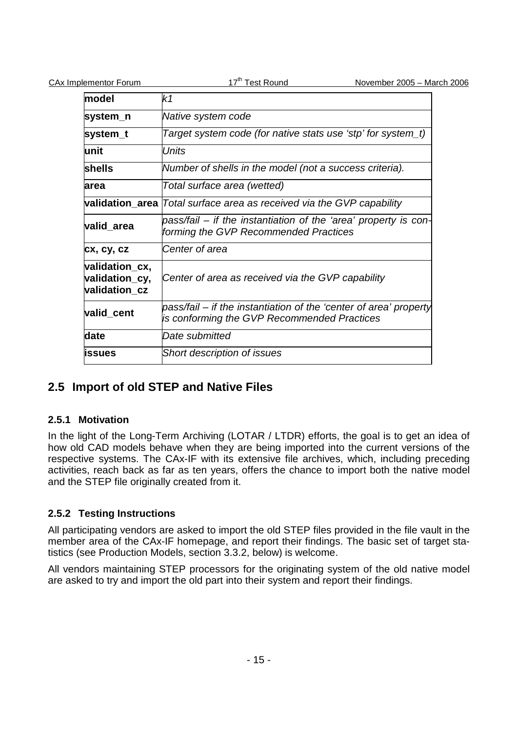| <b>CAx Implementor Forum</b>                      | 17 <sup>th</sup> Test Round<br>November 2005 - March 2006                                                        |  |
|---------------------------------------------------|------------------------------------------------------------------------------------------------------------------|--|
| model                                             | k1                                                                                                               |  |
| system_n                                          | Native system code                                                                                               |  |
| system_t                                          | Target system code (for native stats use 'stp' for system_t)                                                     |  |
| unit                                              | <b>Units</b>                                                                                                     |  |
| shells                                            | Number of shells in the model (not a success criteria).                                                          |  |
| area                                              | Total surface area (wetted)                                                                                      |  |
|                                                   | validation area   Total surface area as received via the GVP capability                                          |  |
| valid_area                                        | pass/fail – if the instantiation of the 'area' property is con-<br>forming the GVP Recommended Practices         |  |
| cx, cy, cz                                        | Center of area                                                                                                   |  |
| validation_cx,<br>validation_cy,<br>validation_cz | Center of area as received via the GVP capability                                                                |  |
| valid_cent                                        | pass/fail – if the instantiation of the 'center of area' property<br>is conforming the GVP Recommended Practices |  |
| date                                              | Date submitted                                                                                                   |  |
| issues                                            | Short description of issues                                                                                      |  |

# **2.5 Import of old STEP and Native Files**

# **2.5.1 Motivation**

In the light of the Long-Term Archiving (LOTAR / LTDR) efforts, the goal is to get an idea of how old CAD models behave when they are being imported into the current versions of the respective systems. The CAx-IF with its extensive file archives, which, including preceding activities, reach back as far as ten years, offers the chance to import both the native model and the STEP file originally created from it.

# **2.5.2 Testing Instructions**

All participating vendors are asked to import the old STEP files provided in the file vault in the member area of the CAx-IF homepage, and report their findings. The basic set of target statistics (see Production Models, section 3.3.2, below) is welcome.

All vendors maintaining STEP processors for the originating system of the old native model are asked to try and import the old part into their system and report their findings.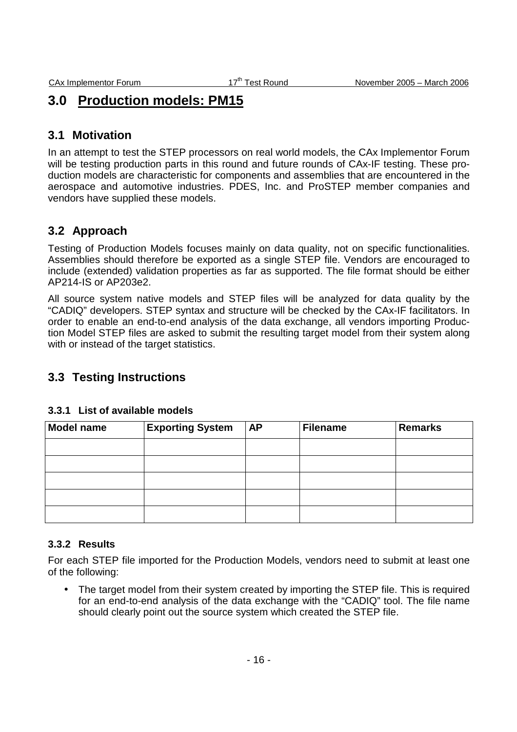# **3.0 Production models: PM15**

# **3.1 Motivation**

In an attempt to test the STEP processors on real world models, the CAx Implementor Forum will be testing production parts in this round and future rounds of CAx-IF testing. These production models are characteristic for components and assemblies that are encountered in the aerospace and automotive industries. PDES, Inc. and ProSTEP member companies and vendors have supplied these models.

# **3.2 Approach**

Testing of Production Models focuses mainly on data quality, not on specific functionalities. Assemblies should therefore be exported as a single STEP file. Vendors are encouraged to include (extended) validation properties as far as supported. The file format should be either AP214-IS or AP203e2.

All source system native models and STEP files will be analyzed for data quality by the "CADIQ" developers. STEP syntax and structure will be checked by the CAx-IF facilitators. In order to enable an end-to-end analysis of the data exchange, all vendors importing Production Model STEP files are asked to submit the resulting target model from their system along with or instead of the target statistics.

# **3.3 Testing Instructions**

| <b>Model name</b> | <b>Exporting System</b> | AP | <b>Filename</b> | <b>Remarks</b> |
|-------------------|-------------------------|----|-----------------|----------------|
|                   |                         |    |                 |                |
|                   |                         |    |                 |                |
|                   |                         |    |                 |                |
|                   |                         |    |                 |                |
|                   |                         |    |                 |                |

### **3.3.1 List of available models**

### **3.3.2 Results**

For each STEP file imported for the Production Models, vendors need to submit at least one of the following:

• The target model from their system created by importing the STEP file. This is required for an end-to-end analysis of the data exchange with the "CADIQ" tool. The file name should clearly point out the source system which created the STEP file.